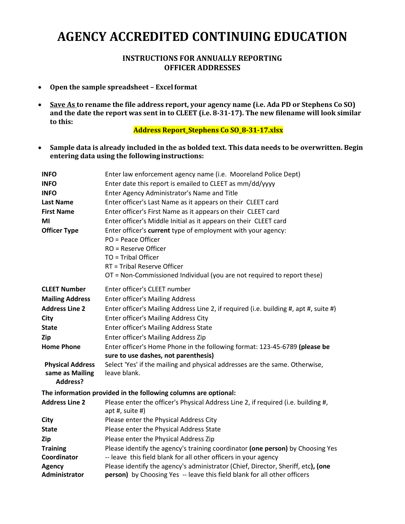## **AGENCY ACCREDITED CONTINUING EDUCATION**

## **INSTRUCTIONS FOR ANNUALLY REPORTING OFFICER ADDRESSES**

- **Open the sample spreadsheet Excelformat**
- **Save As to rename the file address report, your agency name (i.e. Ada PD or Stephens Co SO) and the date the report was sent in to CLEET (i.e. 8-31-17). The new filename will look similar to this:**

**Address Report\_Stephens Co SO\_8-31-17.xlsx**

• **Sample data is already included in the as bolded text. This data needs to be overwritten. Begin entering data using the following instructions:**

| <b>INFO</b><br><b>INFO</b><br><b>INFO</b><br><b>Last Name</b><br><b>First Name</b><br>MI<br><b>Officer Type</b>                                                                             | Enter law enforcement agency name (i.e. Mooreland Police Dept)<br>Enter date this report is emailed to CLEET as mm/dd/yyyy<br>Enter Agency Administrator's Name and Title<br>Enter officer's Last Name as it appears on their CLEET card<br>Enter officer's First Name as it appears on their CLEET card<br>Enter officer's Middle Initial as it appears on their CLEET card<br>Enter officer's current type of employment with your agency:<br>PO = Peace Officer<br>$RO = Reserve Officer$<br>TO = Tribal Officer<br>RT = Tribal Reserve Officer<br>OT = Non-Commissioned Individual (you are not required to report these) |
|---------------------------------------------------------------------------------------------------------------------------------------------------------------------------------------------|-------------------------------------------------------------------------------------------------------------------------------------------------------------------------------------------------------------------------------------------------------------------------------------------------------------------------------------------------------------------------------------------------------------------------------------------------------------------------------------------------------------------------------------------------------------------------------------------------------------------------------|
| <b>CLEET Number</b><br><b>Mailing Address</b><br><b>Address Line 2</b><br>City<br><b>State</b><br>Zip<br><b>Home Phone</b><br><b>Physical Address</b><br>same as Mailing<br><b>Address?</b> | Enter officer's CLEET number<br><b>Enter officer's Mailing Address</b><br>Enter officer's Mailing Address Line 2, if required (i.e. building #, apt #, suite #)<br><b>Enter officer's Mailing Address City</b><br>Enter officer's Mailing Address State<br>Enter officer's Mailing Address Zip<br>Enter officer's Home Phone in the following format: 123-45-6789 (please be<br>sure to use dashes, not parenthesis)<br>Select 'Yes' if the mailing and physical addresses are the same. Otherwise,<br>leave blank.                                                                                                           |
| The information provided in the following columns are optional:                                                                                                                             |                                                                                                                                                                                                                                                                                                                                                                                                                                                                                                                                                                                                                               |
| <b>Address Line 2</b>                                                                                                                                                                       | Please enter the officer's Physical Address Line 2, if required (i.e. building #,<br>apt #, suite #)                                                                                                                                                                                                                                                                                                                                                                                                                                                                                                                          |
| City                                                                                                                                                                                        | Please enter the Physical Address City                                                                                                                                                                                                                                                                                                                                                                                                                                                                                                                                                                                        |
| <b>State</b>                                                                                                                                                                                | Please enter the Physical Address State                                                                                                                                                                                                                                                                                                                                                                                                                                                                                                                                                                                       |
| Zip                                                                                                                                                                                         | Please enter the Physical Address Zip                                                                                                                                                                                                                                                                                                                                                                                                                                                                                                                                                                                         |
| <b>Training</b>                                                                                                                                                                             | Please identify the agency's training coordinator (one person) by Choosing Yes                                                                                                                                                                                                                                                                                                                                                                                                                                                                                                                                                |
| Coordinator                                                                                                                                                                                 | -- leave this field blank for all other officers in your agency                                                                                                                                                                                                                                                                                                                                                                                                                                                                                                                                                               |
| <b>Agency</b><br>Administrator                                                                                                                                                              | Please identify the agency's administrator (Chief, Director, Sheriff, etc), (one<br>person) by Choosing Yes -- leave this field blank for all other officers                                                                                                                                                                                                                                                                                                                                                                                                                                                                  |